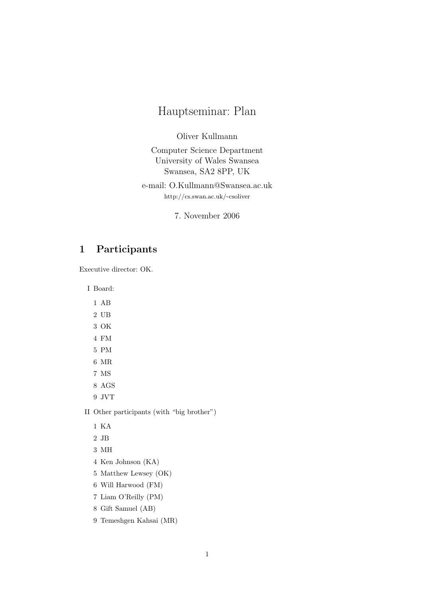# Hauptseminar: Plan

Oliver Kullmann

Computer Science Department University of Wales Swansea Swansea, SA2 8PP, UK

e-mail: O.Kullmann@Swansea.ac.uk http://cs.swan.ac.uk/~csoliver

7. November 2006

## 1 Participants

Executive director: OK.

I Board:

1 AB

- $2\,$  UB
- 3 OK
- 4 FM
- 5 PM
- 6 MR
- 7 MS
- 8 AGS
- 9 JVT

II Other participants (with "big brother")

- 2 JB
- 3 MH
- 4 Ken Johnson (KA)
- 5 Matthew Lewsey (OK)
- 6 Will Harwood (FM)
- 7 Liam O'Reilly (PM)
- 8 Gift Samuel (AB)
- 9 Temeshgen Kahsai (MR)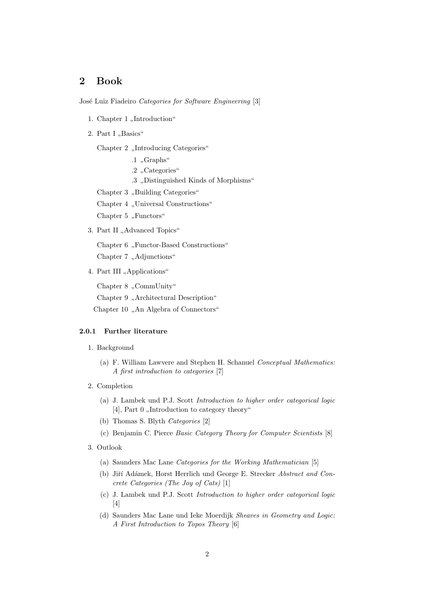### 2 Book

José Luiz Fiadeiro Categories for Software Engineering [3]

- 1. Chapter 1 ,,Introduction"
- $2. Part I, Basics''$

Chapter 2 "Introducing Categories"

- $\cdot$ 1, Graphs"
- .2 "Categories"
- .3 " Distinguished Kinds of Morphisms"

Chapter 3 "Building Categories"

Chapter 4 "Universal Constructions"

Chapter 5, Functors"

3. Part II "Advanced Topics"

Chapter 6 "Functor-Based Constructions"

Chapter 7 "Adjunctions"

4. Part III "Applications"

Chapter 8, CommUnity"

Chapter 9 "Architectural Description"

Chapter 10 "An Algebra of Connectors"

#### 2.0.1 Further literature

- 1. Background
	- (a) F. William Lawvere and Stephen H. Schanuel Conceptual Mathematics: A first introduction to categories [7]
- 2. Completion
	- (a) J. Lambek und P.J. Scott Introduction to higher order categorical logic  $[4]$ , Part 0 "Introduction to category theory"
	- (b) Thomas S. Blyth Categories [2]
	- (c) Benjamin C. Pierce Basic Category Theory for Computer Scientists [8]
- 3. Outlook
	- (a) Saunders Mac Lane Categories for the Working Mathematician [5]
	- (b) Jiří Adámek, Horst Herrlich und George E. Strecker Abstract and Concrete Categories (The Joy of Cats) [1]
	- (c) J. Lambek und P.J. Scott Introduction to higher order categorical logic [4]
	- (d) Saunders Mac Lane und Ieke Moerdijk Sheaves in Geometry and Logic: A First Introduction to Topos Theory [6]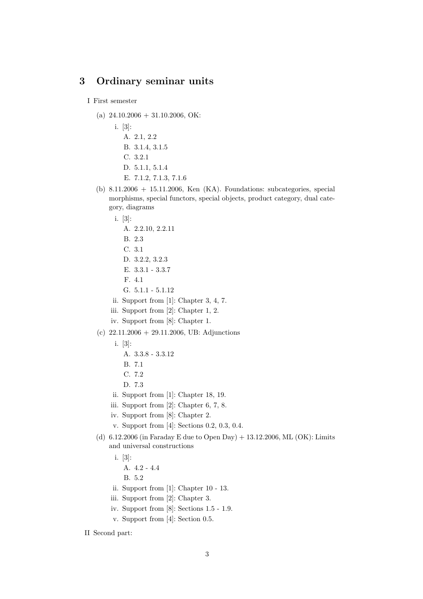### 3 Ordinary seminar units

#### I First semester

- (a)  $24.10.2006 + 31.10.2006$ , OK:
	- i. [3]:
		- A. 2.1, 2.2 B. 3.1.4, 3.1.5
		- C. 3.2.1
		- D. 5.1.1, 5.1.4
		- E. 7.1.2, 7.1.3, 7.1.6
- (b)  $8.11.2006 + 15.11.2006$ , Ken (KA). Foundations: subcategories, special morphisms, special functors, special objects, product category, dual category, diagrams
	- i. [3]:
		- A. 2.2.10, 2.2.11
		- B. 2.3
		- C. 3.1
		- D. 3.2.2, 3.2.3
		- E. 3.3.1 3.3.7
		- F. 4.1
		- G. 5.1.1 5.1.12
	- ii. Support from [1]: Chapter 3, 4, 7.
	- iii. Support from [2]: Chapter 1, 2.
	- iv. Support from [8]: Chapter 1.
- (c)  $22.11.2006 + 29.11.2006$ , UB: Adjunctions
	- i. [3]:
		- A. 3.3.8 3.3.12
		- B. 7.1
		- C. 7.2
		- D. 7.3
	- ii. Support from [1]: Chapter 18, 19.
	- iii. Support from [2]: Chapter 6, 7, 8.
	- iv. Support from [8]: Chapter 2.
	- v. Support from [4]: Sections 0.2, 0.3, 0.4.
- (d) 6.12.2006 (in Faraday E due to Open Day) + 13.12.2006, ML (OK): Limits and universal constructions
	- i. [3]:
		- A. 4.2 4.4
		- B. 5.2
	- ii. Support from [1]: Chapter 10 13.
	- iii. Support from [2]: Chapter 3.
	- iv. Support from [8]: Sections 1.5 1.9.
	- v. Support from [4]: Section 0.5.

II Second part: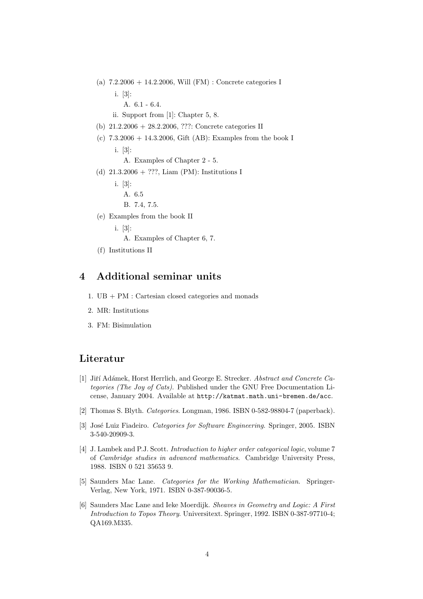- (a) 7.2.2006 + 14.2.2006, Will (FM) : Concrete categories I
	- i. [3]:
		- A. 6.1 6.4.
	- ii. Support from [1]: Chapter 5, 8.
- (b) 21.2.2006 + 28.2.2006, ???: Concrete categories II
- (c)  $7.3.2006 + 14.3.2006$ , Gift (AB): Examples from the book I
	- i. [3]: A. Examples of Chapter 2 - 5.
	-
- (d) 21.3.2006 + ???, Liam (PM): Institutions I
	- i. [3]:
		- A. 6.5
		- B. 7.4, 7.5.
- (e) Examples from the book II
	- i. [3]:
		- A. Examples of Chapter 6, 7.
- (f) Institutions II

#### 4 Additional seminar units

- 1. UB + PM : Cartesian closed categories and monads
- 2. MR: Institutions
- 3. FM: Bisimulation

#### Literatur

- [1] Jiří Adámek, Horst Herrlich, and George E. Strecker. Abstract and Concrete Categories (The Joy of Cats). Published under the GNU Free Documentation License, January 2004. Available at http://katmat.math.uni-bremen.de/acc.
- [2] Thomas S. Blyth. Categories. Longman, 1986. ISBN 0-582-98804-7 (paperback).
- [3] José Luiz Fiadeiro. Categories for Software Engineering. Springer, 2005. ISBN 3-540-20909-3.
- [4] J. Lambek and P.J. Scott. Introduction to higher order categorical logic, volume 7 of Cambridge studies in advanced mathematics. Cambridge University Press, 1988. ISBN 0 521 35653 9.
- [5] Saunders Mac Lane. Categories for the Working Mathematician. Springer-Verlag, New York, 1971. ISBN 0-387-90036-5.
- [6] Saunders Mac Lane and Ieke Moerdijk. Sheaves in Geometry and Logic: A First Introduction to Topos Theory. Universitext. Springer, 1992. ISBN 0-387-97710-4; QA169.M335.